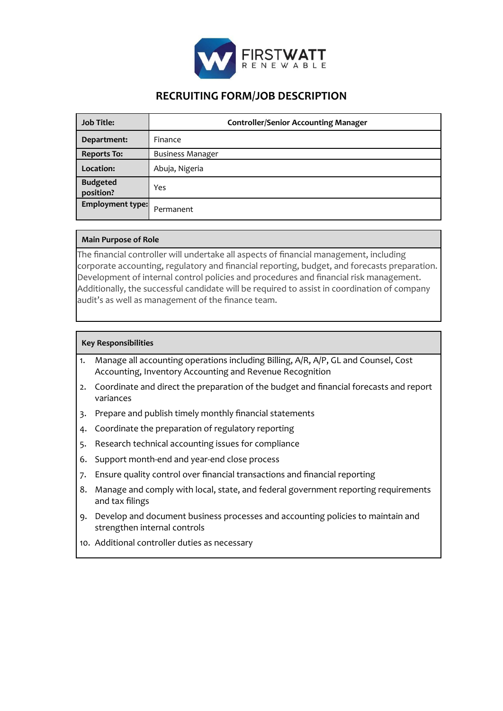

# **RECRUITING FORM/JOB DESCRIPTION**

| <b>Job Title:</b>            | <b>Controller/Senior Accounting Manager</b> |
|------------------------------|---------------------------------------------|
| Department:                  | Finance                                     |
| <b>Reports To:</b>           | <b>Business Manager</b>                     |
| Location:                    | Abuja, Nigeria                              |
| <b>Budgeted</b><br>position? | Yes                                         |
| <b>Employment type:</b>      | Permanent                                   |

# **Main Purpose of Role**

The financial controller will undertake all aspects of financial management, including corporate accounting, regulatory and financial reporting, budget, and forecasts preparation. Development of internal control policies and procedures and financial risk management. Additionally, the successful candidate will be required to assist in coordination of company audit's as well as management of the finance team.

# **Key Responsibilities**

- 1. Manage all accounting operations including Billing, A/R, A/P, GL and Counsel, Cost Accounting, Inventory Accounting and Revenue Recognition
- 2. Coordinate and direct the preparation of the budget and financial forecasts and report variances
- 3. Prepare and publish timely monthly financial statements
- 4. Coordinate the preparation of regulatory reporting
- 5. Research technical accounting issues for compliance
- 6. Support month-end and year-end close process
- 7. Ensure quality control over financial transactions and financial reporting
- 8. Manage and comply with local, state, and federal government reporting requirements and tax filings
- 9. Develop and document business processes and accounting policies to maintain and strengthen internal controls
- 10. Additional controller duties as necessary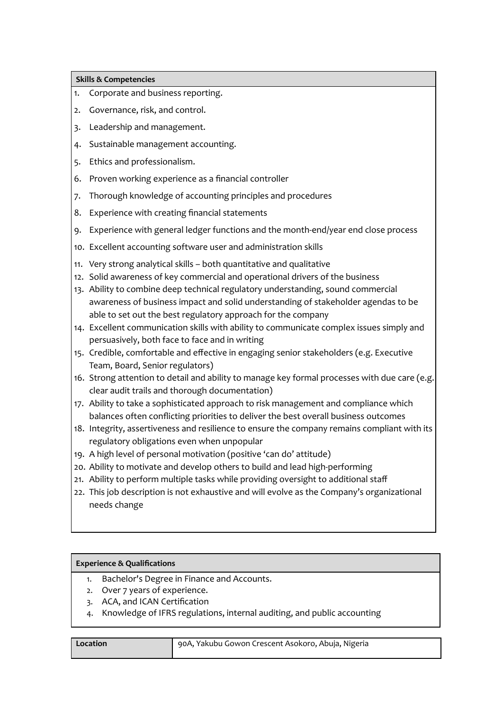# **Skills & Competencies**

- 1. Corporate and business reporting.
- 2. Governance, risk, and control.
- 3. Leadership and management.
- 4. Sustainable management accounting.
- 5. Ethics and professionalism.
- 6. Proven working experience as a financial controller
- 7. Thorough knowledge of accounting principles and procedures
- 8. Experience with creating financial statements
- 9. Experience with general ledger functions and the month-end/year end close process
- 10. Excellent accounting software user and administration skills
- 11. Very strong analytical skills both quantitative and qualitative
- 12. Solid awareness of key commercial and operational drivers of the business
- 13. Ability to combine deep technical regulatory understanding, sound commercial awareness of business impact and solid understanding of stakeholder agendas to be able to set out the best regulatory approach for the company
- 14. Excellent communication skills with ability to communicate complex issues simply and persuasively, both face to face and in writing
- 15. Credible, comfortable and effective in engaging senior stakeholders (e.g. Executive Team, Board, Senior regulators)
- 16. Strong attention to detail and ability to manage key formal processes with due care (e.g. clear audit trails and thorough documentation)
- 17. Ability to take a sophisticated approach to risk management and compliance which balances often conflicting priorities to deliver the best overall business outcomes
- 18. Integrity, assertiveness and resilience to ensure the company remains compliant with its regulatory obligations even when unpopular
- 19. A high level of personal motivation (positive 'can do' attitude)
- 20. Ability to motivate and develop others to build and lead high-performing
- 21. Ability to perform multiple tasks while providing oversight to additional staff
- 22. This job description is not exhaustive and will evolve as the Company's organizational needs change

# **Experience & Qualifications**

- 1. Bachelor's Degree in Finance and Accounts.
- 2. Over 7 years of experience.
- 3. ACA, and ICAN Certification
- 4. Knowledge of IFRS regulations, internal auditing, and public accounting

#### **Location 190A, Yakubu Gowon Crescent Asokoro, Abuja, Nigeria**